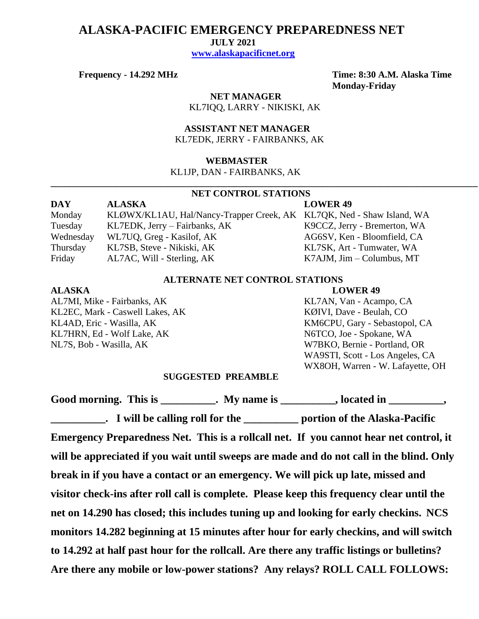## **ALASKA-PACIFIC EMERGENCY PREPAREDNESS NET**

 **JULY 2021**

 **[www.alaskapacificnet.org](http://www.alaskapacificnet.org/)**

**Frequency - 14.292 MHz Time: 8:30 A.M. Alaska Time Monday-Friday**

> **NET MANAGER** KL7IQQ, LARRY - NIKISKI, AK

 **ASSISTANT NET MANAGER**  KL7EDK, JERRY - FAIRBANKS, AK

### **WEBMASTER**

KL1JP, DAN - FAIRBANKS, AK

# **NET CONTROL STATIONS**

**\_\_\_\_\_\_\_\_\_\_\_\_\_\_\_\_\_\_\_\_\_\_\_\_\_\_\_\_\_\_\_\_\_\_\_\_\_\_\_\_\_\_\_\_\_\_\_\_\_\_\_\_\_\_\_\_\_\_\_\_\_\_\_\_\_\_\_\_\_\_\_\_\_\_\_\_\_\_\_\_\_\_\_\_\_\_\_\_\_\_\_**

| DAY       | <b>ALASKA</b>                                                         | <b>LOWER 49</b>                   |
|-----------|-----------------------------------------------------------------------|-----------------------------------|
| Monday    | KLØWX/KL1AU, Hal/Nancy-Trapper Creek, AK KL7QK, Ned - Shaw Island, WA |                                   |
| Tuesday   | KL7EDK, Jerry – Fairbanks, AK                                         | K9CCZ, Jerry - Bremerton, WA      |
| Wednesday | WL7UQ, Greg - Kasilof, AK                                             | AG6SV, Ken - Bloomfield, CA       |
| Thursday  | KL7SB, Steve - Nikiski, AK                                            | KL7SK, Art - Tumwater, WA         |
| Friday    | AL7AC, Will - Sterling, AK                                            | $K7AJM$ , $Jim - Columbus$ , $MT$ |

### **ALTERNATE NET CONTROL STATIONS**

### **ALASKA LOWER 49**

AL7MI, Mike - Fairbanks, AK KL7AN, Van - Acampo, CA KL2EC, Mark - Caswell Lakes, AK KØIVI, Dave - Beulah, CO KL4AD, Eric - Wasilla, AK KM6CPU, Gary - Sebastopol, CA KL7HRN, Ed - Wolf Lake, AK N6TCO, Joe - Spokane, WA NL7S, Bob - Wasilla, AK W7BKO, Bernie - Portland, OR

WA9STI, Scott - Los Angeles, CA WX8OH, Warren - W. Lafayette, OH

### **SUGGESTED PREAMBLE**

Good morning. This is \_\_\_\_\_\_\_\_\_\_. My name is \_\_\_\_\_\_\_\_\_, located in \_\_\_\_\_\_\_\_\_, **\_\_\_\_\_\_\_\_\_\_. I will be calling roll for the \_\_\_\_\_\_\_\_\_\_ portion of the Alaska-Pacific Emergency Preparedness Net. This is a rollcall net. If you cannot hear net control, it will be appreciated if you wait until sweeps are made and do not call in the blind. Only break in if you have a contact or an emergency. We will pick up late, missed and visitor check-ins after roll call is complete. Please keep this frequency clear until the net on 14.290 has closed; this includes tuning up and looking for early checkins. NCS monitors 14.282 beginning at 15 minutes after hour for early checkins, and will switch to 14.292 at half past hour for the rollcall. Are there any traffic listings or bulletins? Are there any mobile or low-power stations? Any relays? ROLL CALL FOLLOWS:**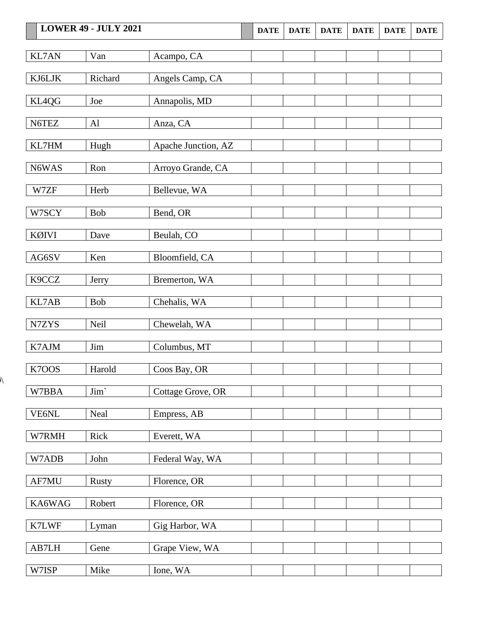|                        | <b>LOWER 49 - JULY 2021</b> |                     | <b>DATE</b> | <b>DATE</b> | <b>DATE</b> | <b>DATE</b> | <b>DATE</b> | <b>DATE</b> |
|------------------------|-----------------------------|---------------------|-------------|-------------|-------------|-------------|-------------|-------------|
| <b>KL7AN</b>           | Van                         | Acampo, CA          |             |             |             |             |             |             |
| KJ6LJK                 | Richard                     | Angels Camp, CA     |             |             |             |             |             |             |
| KL4QG                  | Joe                         | Annapolis, MD       |             |             |             |             |             |             |
| N6TEZ                  | Al                          | Anza, CA            |             |             |             |             |             |             |
| KL7HM                  | Hugh                        | Apache Junction, AZ |             |             |             |             |             |             |
| N6WAS                  | Ron                         | Arroyo Grande, CA   |             |             |             |             |             |             |
| W7ZF                   | Herb                        | Bellevue, WA        |             |             |             |             |             |             |
| W7SCY                  | <b>Bob</b>                  | Bend, OR            |             |             |             |             |             |             |
| KØIVI                  | Dave                        | Beulah, CO          |             |             |             |             |             |             |
| $\operatorname{AG6SV}$ | Ken                         | Bloomfield, CA      |             |             |             |             |             |             |
| K9CCZ                  | Jerry                       | Bremerton, WA       |             |             |             |             |             |             |
| KL7AB                  | <b>Bob</b>                  | Chehalis, WA        |             |             |             |             |             |             |
| N7ZYS                  | Neil                        | Chewelah, WA        |             |             |             |             |             |             |
| K7AJM                  | Jim                         | Columbus, MT        |             |             |             |             |             |             |
| K7OOS                  | Harold                      | Coos Bay, OR        |             |             |             |             |             |             |
| W7BBA                  | $\text{Jim}`$               | Cottage Grove, OR   |             |             |             |             |             |             |
| VE6NL                  | Neal                        | Empress, AB         |             |             |             |             |             |             |
| W7RMH                  | Rick                        | Everett, WA         |             |             |             |             |             |             |
| W7ADB                  | John                        | Federal Way, WA     |             |             |             |             |             |             |
| AF7MU                  | <b>Rusty</b>                | Florence, OR        |             |             |             |             |             |             |
| KA6WAG                 | Robert                      | Florence, OR        |             |             |             |             |             |             |
| K7LWF                  | Lyman                       | Gig Harbor, WA      |             |             |             |             |             |             |
| AB7LH                  | Gene                        | Grape View, WA      |             |             |             |             |             |             |
| W7ISP                  | Mike                        | Ione, WA            |             |             |             |             |             |             |

 $\overline{\mathcal{N}}$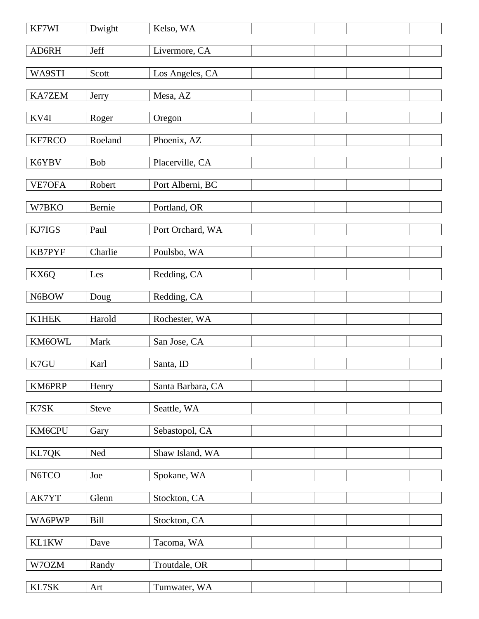| KF7WI         | Dwight       | Kelso, WA         |  |  |  |
|---------------|--------------|-------------------|--|--|--|
| AD6RH         | Jeff         | Livermore, CA     |  |  |  |
| WA9STI        | Scott        | Los Angeles, CA   |  |  |  |
| <b>KA7ZEM</b> | Jerry        | Mesa, AZ          |  |  |  |
| KV4I          | Roger        | Oregon            |  |  |  |
| KF7RCO        | Roeland      |                   |  |  |  |
|               |              | Phoenix, AZ       |  |  |  |
| K6YBV         | Bob          | Placerville, CA   |  |  |  |
| VE7OFA        | Robert       | Port Alberni, BC  |  |  |  |
| W7BKO         | Bernie       | Portland, OR      |  |  |  |
| KJ7IGS        | Paul         | Port Orchard, WA  |  |  |  |
| <b>KB7PYF</b> | Charlie      | Poulsbo, WA       |  |  |  |
| KX6Q          | Les          | Redding, CA       |  |  |  |
|               |              |                   |  |  |  |
| N6BOW         | Doug         | Redding, CA       |  |  |  |
| K1HEK         | Harold       | Rochester, WA     |  |  |  |
| KM6OWL        | Mark         | San Jose, CA      |  |  |  |
| K7GU          | Karl         | Santa, ID         |  |  |  |
| KM6PRP        | Henry        | Santa Barbara, CA |  |  |  |
| K7SK          | <b>Steve</b> | Seattle, WA       |  |  |  |
| KM6CPU        | Gary         | Sebastopol, CA    |  |  |  |
|               |              |                   |  |  |  |
| KL7QK         | Ned          | Shaw Island, WA   |  |  |  |
| N6TCO         | Joe          | Spokane, WA       |  |  |  |
| AK7YT         | Glenn        | Stockton, CA      |  |  |  |
| WA6PWP        | <b>Bill</b>  | Stockton, CA      |  |  |  |
| <b>KL1KW</b>  | Dave         | Tacoma, WA        |  |  |  |
| W7OZM         | Randy        | Troutdale, OR     |  |  |  |
|               |              |                   |  |  |  |
| KL7SK         | Art          | Tumwater, WA      |  |  |  |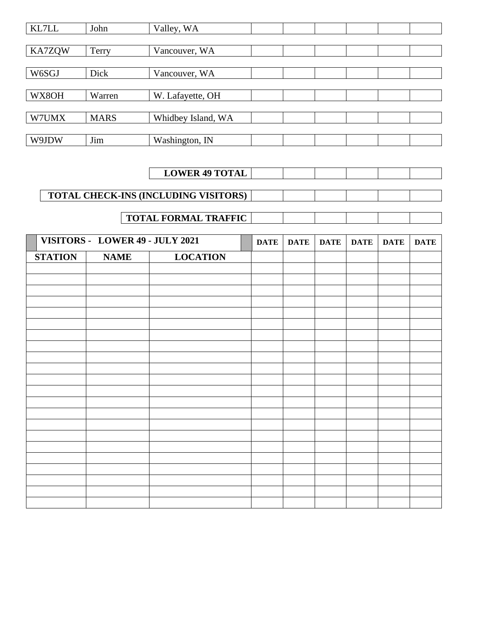| KL7LL         | John        | Valley, WA         |  |  |  |
|---------------|-------------|--------------------|--|--|--|
|               |             |                    |  |  |  |
| <b>KA7ZQW</b> | Terry       | Vancouver, WA      |  |  |  |
|               |             |                    |  |  |  |
| W6SGJ         | Dick        | Vancouver, WA      |  |  |  |
|               |             |                    |  |  |  |
| WX8OH         | Warren      | W. Lafayette, OH   |  |  |  |
|               |             |                    |  |  |  |
| W7UMX         | <b>MARS</b> | Whidbey Island, WA |  |  |  |
|               |             |                    |  |  |  |
| W9JDW         | Jim         | Washington, IN     |  |  |  |

## **LOWER 49 TOTAL**

## **TOTAL CHECK-INS (INCLUDING VISITORS)**

## **TOTAL FORMAL TRAFFIC**

|                | VISITORS - LOWER 49 - JULY 2021 |                 | <b>DATE</b> | DATE | <b>DATE</b> | <b>DATE</b> | <b>DATE</b> | <b>DATE</b> |
|----------------|---------------------------------|-----------------|-------------|------|-------------|-------------|-------------|-------------|
| <b>STATION</b> | <b>NAME</b>                     | <b>LOCATION</b> |             |      |             |             |             |             |
|                |                                 |                 |             |      |             |             |             |             |
|                |                                 |                 |             |      |             |             |             |             |
|                |                                 |                 |             |      |             |             |             |             |
|                |                                 |                 |             |      |             |             |             |             |
|                |                                 |                 |             |      |             |             |             |             |
|                |                                 |                 |             |      |             |             |             |             |
|                |                                 |                 |             |      |             |             |             |             |
|                |                                 |                 |             |      |             |             |             |             |
|                |                                 |                 |             |      |             |             |             |             |
|                |                                 |                 |             |      |             |             |             |             |
|                |                                 |                 |             |      |             |             |             |             |
|                |                                 |                 |             |      |             |             |             |             |
|                |                                 |                 |             |      |             |             |             |             |
|                |                                 |                 |             |      |             |             |             |             |
|                |                                 |                 |             |      |             |             |             |             |
|                |                                 |                 |             |      |             |             |             |             |
|                |                                 |                 |             |      |             |             |             |             |
|                |                                 |                 |             |      |             |             |             |             |
|                |                                 |                 |             |      |             |             |             |             |
|                |                                 |                 |             |      |             |             |             |             |
|                |                                 |                 |             |      |             |             |             |             |
|                |                                 |                 |             |      |             |             |             |             |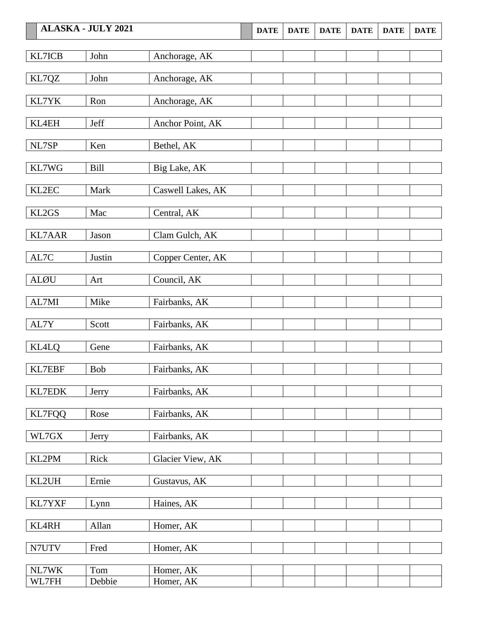| <b>ALASKA - JULY 2021</b> |            | <b>DATE</b>       | <b>DATE</b> | <b>DATE</b> | <b>DATE</b> | <b>DATE</b> | <b>DATE</b> |  |
|---------------------------|------------|-------------------|-------------|-------------|-------------|-------------|-------------|--|
|                           |            |                   |             |             |             |             |             |  |
| KL7ICB                    | John       | Anchorage, AK     |             |             |             |             |             |  |
| KL7QZ                     | John       | Anchorage, AK     |             |             |             |             |             |  |
| KL7YK                     | Ron        | Anchorage, AK     |             |             |             |             |             |  |
| KL4EH                     | Jeff       | Anchor Point, AK  |             |             |             |             |             |  |
| NL7SP                     | Ken        | Bethel, AK        |             |             |             |             |             |  |
| KL7WG                     | Bill       | Big Lake, AK      |             |             |             |             |             |  |
| KL2EC                     | Mark       | Caswell Lakes, AK |             |             |             |             |             |  |
| KL2GS                     | Mac        | Central, AK       |             |             |             |             |             |  |
| <b>KL7AAR</b>             | Jason      | Clam Gulch, AK    |             |             |             |             |             |  |
| AL7C                      | Justin     | Copper Center, AK |             |             |             |             |             |  |
| <b>ALØU</b>               | Art        | Council, AK       |             |             |             |             |             |  |
| AL7MI                     | Mike       | Fairbanks, AK     |             |             |             |             |             |  |
| AL7Y                      | Scott      | Fairbanks, AK     |             |             |             |             |             |  |
| <b>KL4LQ</b>              | Gene       | Fairbanks, AK     |             |             |             |             |             |  |
| <b>KL7EBF</b>             | <b>Bob</b> | Fairbanks, AK     |             |             |             |             |             |  |
| <b>KL7EDK</b>             | Jerry      | Fairbanks, AK     |             |             |             |             |             |  |
| <b>KL7FQQ</b>             | Rose       | Fairbanks, AK     |             |             |             |             |             |  |
| WL7GX                     | Jerry      | Fairbanks, AK     |             |             |             |             |             |  |
| KL2PM                     | Rick       | Glacier View, AK  |             |             |             |             |             |  |
| KL2UH                     | Ernie      | Gustavus, AK      |             |             |             |             |             |  |
| KL7YXF                    | Lynn       | Haines, AK        |             |             |             |             |             |  |
| KL4RH                     | Allan      | Homer, AK         |             |             |             |             |             |  |
| N7UTV                     | Fred       | Homer, AK         |             |             |             |             |             |  |
| NL7WK                     | Tom        | Homer, AK         |             |             |             |             |             |  |
| WL7FH                     | Debbie     | Homer, AK         |             |             |             |             |             |  |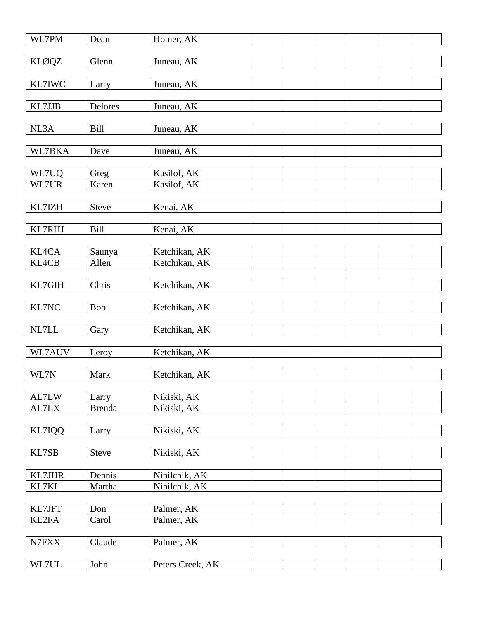| WL7PM  | Dean          | Homer, AK        |  |  |  |
|--------|---------------|------------------|--|--|--|
| KLØQZ  | Glenn         | Juneau, AK       |  |  |  |
|        |               |                  |  |  |  |
| KL7IWC | Larry         | Juneau, AK       |  |  |  |
| KL7JJB | Delores       | Juneau, AK       |  |  |  |
|        |               |                  |  |  |  |
| NL3A   | Bill          | Juneau, AK       |  |  |  |
| WL7BKA | Dave          | Juneau, AK       |  |  |  |
|        |               |                  |  |  |  |
| WL7UQ  | Greg          | Kasilof, AK      |  |  |  |
| WL7UR  | Karen         | Kasilof, AK      |  |  |  |
| KL7IZH | Steve         | Kenai, AK        |  |  |  |
|        |               |                  |  |  |  |
| KL7RHJ | Bill          | Kenai, AK        |  |  |  |
|        |               |                  |  |  |  |
| KL4CA  | Saunya        | Ketchikan, AK    |  |  |  |
| KL4CB  | Allen         | Ketchikan, AK    |  |  |  |
|        |               |                  |  |  |  |
| KL7GIH | Chris         | Ketchikan, AK    |  |  |  |
|        |               |                  |  |  |  |
| KL7NC  | Bob           | Ketchikan, AK    |  |  |  |
| NL7LL  | Gary          | Ketchikan, AK    |  |  |  |
|        |               |                  |  |  |  |
| WL7AUV | Leroy         | Ketchikan, AK    |  |  |  |
|        |               |                  |  |  |  |
| WL7N   | Mark          | Ketchikan, AK    |  |  |  |
|        |               |                  |  |  |  |
| AL7LW  | Larry         | Nikiski, AK      |  |  |  |
| AL7LX  | <b>Brenda</b> | Nikiski, AK      |  |  |  |
| KL7IQQ |               | Nikiski, AK      |  |  |  |
|        | Larry         |                  |  |  |  |
| KL7SB  | Steve         | Nikiski, AK      |  |  |  |
|        |               |                  |  |  |  |
| KL7JHR | Dennis        | Ninilchik, AK    |  |  |  |
| KL7KL  | Martha        | Ninilchik, AK    |  |  |  |
|        |               |                  |  |  |  |
| KL7JFT | Don           | Palmer, AK       |  |  |  |
| KL2FA  | Carol         | Palmer, AK       |  |  |  |
|        |               |                  |  |  |  |
| N7FXX  | Claude        | Palmer, AK       |  |  |  |
|        |               |                  |  |  |  |
| WL7UL  | John          | Peters Creek, AK |  |  |  |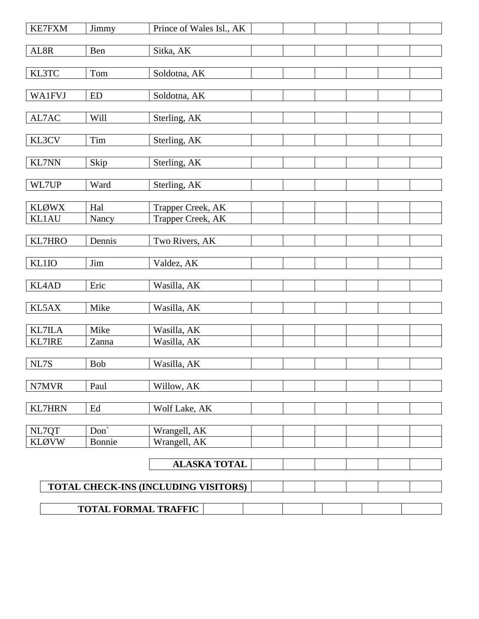| <b>KE7FXM</b> | Jimmy     | Prince of Wales Isl., AK             |  |  |
|---------------|-----------|--------------------------------------|--|--|
| ${\bf AL8R}$  | Ben       | Sitka, AK                            |  |  |
| KL3TC         | Tom       | Soldotna, AK                         |  |  |
| <b>WA1FVJ</b> | <b>ED</b> |                                      |  |  |
|               |           | Soldotna, AK                         |  |  |
| AL7AC         | Will      | Sterling, AK                         |  |  |
| KL3CV         | Tim       | Sterling, AK                         |  |  |
| <b>KL7NN</b>  | Skip      | Sterling, AK                         |  |  |
| WL7UP         | Ward      | Sterling, AK                         |  |  |
| <b>KLØWX</b>  | Hal       | Trapper Creek, AK                    |  |  |
| KL1AU         | Nancy     | Trapper Creek, AK                    |  |  |
| KL7HRO        | Dennis    | Two Rivers, AK                       |  |  |
| KL1IO         | Jim       | Valdez, AK                           |  |  |
| KL4AD         | Eric      | Wasilla, AK                          |  |  |
| KL5AX         | Mike      | Wasilla, AK                          |  |  |
| <b>KL7ILA</b> | Mike      | Wasilla, AK                          |  |  |
| <b>KL7IRE</b> | Zanna     | Wasilla, AK                          |  |  |
| NL7S          | Bob       | Wasilla, AK                          |  |  |
| N7MVR         | Paul      | Willow, AK                           |  |  |
| <b>KL7HRN</b> | Ed        | Wolf Lake, AK                        |  |  |
| NL7QT         | Don'      | Wrangell, AK                         |  |  |
| <b>KLØVW</b>  | Bonnie    | Wrangell, AK                         |  |  |
|               |           | <b>ALASKA TOTAL</b>                  |  |  |
|               |           | TOTAL CHECK-INS (INCLUDING VISITORS) |  |  |
|               |           | <b>TOTAL FORMAL TRAFFIC</b>          |  |  |
|               |           |                                      |  |  |